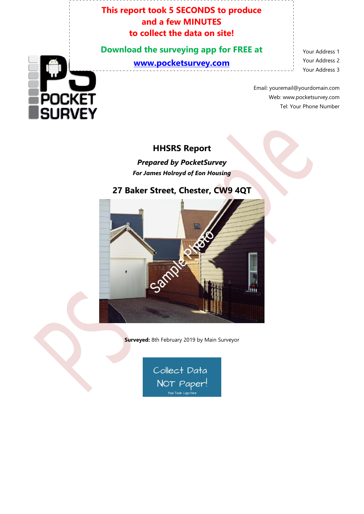#### **This report took 5 SECONDS to produce and a few MINUTES to collect the data on site!**

**Download the surveying app for FREE at [www.pocketsurvey.com](http://www.pocketsurvey.com/)**

Your Address 1 Your Address 2 Your Address 3

Email: youremail@yourdomain.com Web: www.pocketsurvey.com Tel: Your Phone Number

#### **HHSRS Report**

*Prepared by PocketSurvey For James Holroyd of Eon Housing*

# **27 Baker Street, Chester, CW9 4QT**



**Surveyed:** 8th February 2019 by Main Surveyor

Collect Data NOT Paper! Vour Trade Logo H

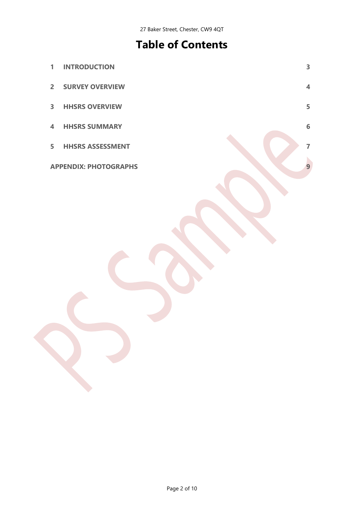# **Table of Contents**

| $\mathbf{1}$   | <b>INTRODUCTION</b>          | $\overline{\mathbf{3}}$ |
|----------------|------------------------------|-------------------------|
| $\overline{2}$ | <b>SURVEY OVERVIEW</b>       | $\overline{\mathbf{4}}$ |
| $\mathbf{3}$   | <b>HHSRS OVERVIEW</b>        | 5                       |
| $\overline{4}$ | <b>HHSRS SUMMARY</b>         | 6                       |
| 5              | <b>HHSRS ASSESSMENT</b>      | $\overline{7}$          |
|                | <b>APPENDIX: PHOTOGRAPHS</b> |                         |
|                |                              |                         |
|                |                              |                         |
|                |                              |                         |
|                |                              |                         |
|                |                              |                         |
|                |                              |                         |
|                |                              |                         |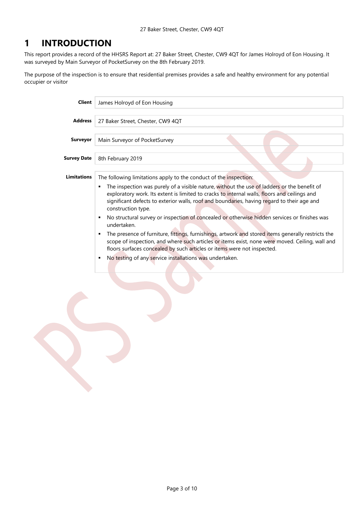#### <span id="page-2-0"></span>**1 INTRODUCTION**

This report provides a record of the HHSRS Report at: 27 Baker Street, Chester, CW9 4QT for James Holroyd of Eon Housing. It was surveyed by Main Surveyor of PocketSurvey on the 8th February 2019.

The purpose of the inspection is to ensure that residential premises provides a safe and healthy environment for any potential occupier or visitor

| <b>Client</b>      | James Holroyd of Eon Housing                                                                                                                                                                                                                                                                                                                                                                                                                                                                                  |  |  |  |  |
|--------------------|---------------------------------------------------------------------------------------------------------------------------------------------------------------------------------------------------------------------------------------------------------------------------------------------------------------------------------------------------------------------------------------------------------------------------------------------------------------------------------------------------------------|--|--|--|--|
| <b>Address</b>     | 27 Baker Street, Chester, CW9 4QT                                                                                                                                                                                                                                                                                                                                                                                                                                                                             |  |  |  |  |
| <b>Surveyor</b>    | Main Surveyor of PocketSurvey                                                                                                                                                                                                                                                                                                                                                                                                                                                                                 |  |  |  |  |
| Survey Date        | 8th February 2019                                                                                                                                                                                                                                                                                                                                                                                                                                                                                             |  |  |  |  |
| <b>Limitations</b> | The following limitations apply to the conduct of the inspection:<br>The inspection was purely of a visible nature, without the use of ladders or the benefit of<br>٠<br>exploratory work. Its extent is limited to cracks to internal walls, floors and ceilings and<br>significant defects to exterior walls, roof and boundaries, having regard to their age and<br>construction type.<br>No structural survey or inspection of concealed or otherwise hidden services or finishes was<br>٠<br>undertaken. |  |  |  |  |
|                    | The presence of furniture, fittings, furnishings, artwork and stored items generally restricts the<br>٠<br>scope of inspection, and where such articles or items exist, none were moved. Ceiling, wall and<br>floors surfaces concealed by such articles or items were not inspected.<br>No testing of any service installations was undertaken.<br>٠                                                                                                                                                         |  |  |  |  |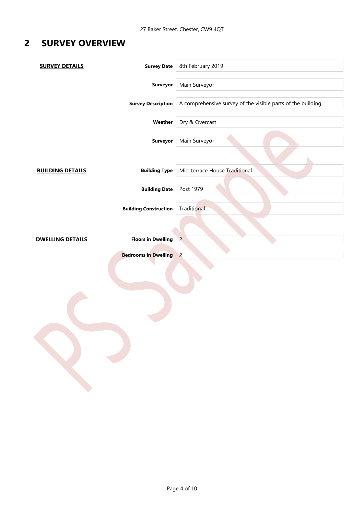## <span id="page-3-0"></span>**2 SURVEY OVERVIEW**

| <b>SURVEY DETAILS</b>   | <b>Survey Date</b>           | 8th February 2019                                            |
|-------------------------|------------------------------|--------------------------------------------------------------|
|                         | <b>Surveyor</b>              | Main Surveyor                                                |
|                         | <b>Survey Description</b>    | A comprehensive survey of the visible parts of the building. |
|                         | Weather                      | Dry & Overcast                                               |
|                         | <b>Surveyor</b>              | Main Surveyor                                                |
|                         |                              |                                                              |
| <b>BUILDING DETAILS</b> | <b>Building Type</b>         | Mid-terrace House Traditional                                |
|                         | <b>Building Date</b>         | Post 1979                                                    |
|                         | <b>Building Construction</b> | Traditional                                                  |
|                         |                              |                                                              |
| <b>DWELLING DETAILS</b> | <b>Floors in Dwelling</b>    | $\overline{2}$                                               |
|                         | <b>Bedrooms in Dwelling</b>  | $\overline{2}$                                               |
|                         |                              |                                                              |
|                         |                              |                                                              |
|                         |                              |                                                              |
|                         |                              |                                                              |
|                         |                              |                                                              |
|                         |                              |                                                              |
|                         |                              |                                                              |
|                         |                              |                                                              |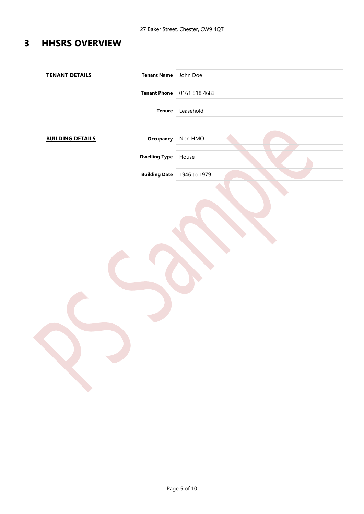### <span id="page-4-0"></span>**3 HHSRS OVERVIEW**

| <b>TENANT DETAILS</b>   | <b>Tenant Name</b>   | John Doe      |
|-------------------------|----------------------|---------------|
|                         | <b>Tenant Phone</b>  | 0161 818 4683 |
|                         | <b>Tenure</b>        | Leasehold     |
| <b>BUILDING DETAILS</b> | <b>Occupancy</b>     | Non HMO       |
|                         | <b>Dwelling Type</b> | House         |
|                         | <b>Building Date</b> | 1946 to 1979  |
|                         |                      |               |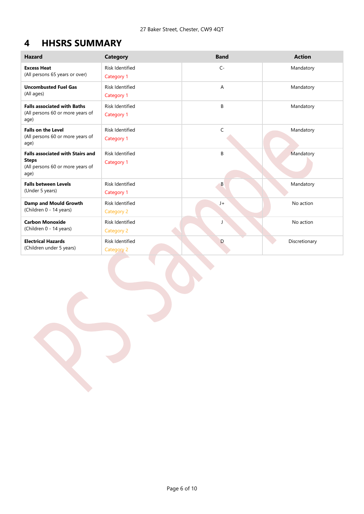### <span id="page-5-0"></span>**4 HHSRS SUMMARY**

| <b>Hazard</b>                                                                                       | <b>Category</b>                             | <b>Band</b> | <b>Action</b> |
|-----------------------------------------------------------------------------------------------------|---------------------------------------------|-------------|---------------|
| <b>Excess Heat</b><br>(All persons 65 years or over)                                                | <b>Risk Identified</b><br><b>Category 1</b> | $C -$       | Mandatory     |
| <b>Uncombusted Fuel Gas</b><br>(All ages)                                                           | <b>Risk Identified</b><br>Category 1        | Α           | Mandatory     |
| <b>Falls associated with Baths</b><br>(All persons 60 or more years of<br>age)                      | <b>Risk Identified</b><br><b>Category 1</b> | B           | Mandatory     |
| <b>Falls on the Level</b><br>(All persons 60 or more years of<br>age)                               | <b>Risk Identified</b><br>Category 1        | C           | Mandatory     |
| <b>Falls associated with Stairs and</b><br><b>Steps</b><br>(All persons 60 or more years of<br>age) | <b>Risk Identified</b><br>Category 1        | B           | Mandatory     |
| <b>Falls between Levels</b><br>(Under 5 years)                                                      | <b>Risk Identified</b><br>Category 1        | B           | Mandatory     |
| <b>Damp and Mould Growth</b><br>(Children 0 - 14 years)                                             | <b>Risk Identified</b><br>Category 2        | $J+$        | No action     |
| <b>Carbon Monoxide</b><br>(Children 0 - 14 years)                                                   | <b>Risk Identified</b><br>Category 2        |             | No action     |
| <b>Electrical Hazards</b><br>(Children under 5 years)                                               | <b>Risk Identified</b><br><b>Category 2</b> | D           | Discretionary |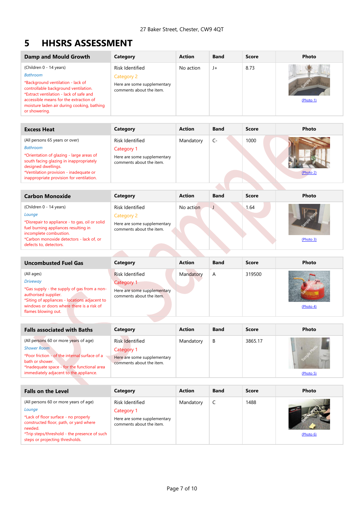#### <span id="page-6-0"></span>**5 HHSRS ASSESSMENT**

| Damp and Mould Growth                                                                                                                                                                                                                                                       | Category                                                                                 | <b>Action</b> | <b>Band</b> | Score | Photo            |
|-----------------------------------------------------------------------------------------------------------------------------------------------------------------------------------------------------------------------------------------------------------------------------|------------------------------------------------------------------------------------------|---------------|-------------|-------|------------------|
| (Children 0 - 14 years)<br><b>Bathroom</b><br>*Background ventilation - lack of<br>controllable background ventilation.<br>*Extract ventilation - lack of safe and<br>accessible means for the extraction of<br>moisture laden air during cooking, bathing<br>or showering. | Risk Identified<br>Category 2<br>Here are some supplementary<br>comments about the item. | No action     | $J+$        | 8.73  | Sam<br>(Photo 1) |

<span id="page-6-1"></span>

| <b>Excess Heat</b>                                                                                                                                                                                                                                    | Category                                                                                 | <b>Action</b> | <b>Band</b> | Score | Photo     |
|-------------------------------------------------------------------------------------------------------------------------------------------------------------------------------------------------------------------------------------------------------|------------------------------------------------------------------------------------------|---------------|-------------|-------|-----------|
| (All persons 65 years or over)<br><b>Bathroom</b><br>*Orientation of glazing - large areas of<br>south facing glazing in inappropriately<br>designed dwellings.<br>*Ventilation provision - inadequate or<br>inappropriate provision for ventilation. | Risk Identified<br>Category 1<br>Here are some supplementary<br>comments about the item. | Mandatory     | $C-$        | 1000  | (Photo 2) |
|                                                                                                                                                                                                                                                       |                                                                                          |               |             |       |           |

<span id="page-6-2"></span>

| <b>Carbon Monoxide</b>                                                                                                                                                                                                      | Category                                                                                 | <b>Action</b> | <b>Band</b> | Score | Photo     |
|-----------------------------------------------------------------------------------------------------------------------------------------------------------------------------------------------------------------------------|------------------------------------------------------------------------------------------|---------------|-------------|-------|-----------|
| (Children 0 - 14 years)<br>Lounge<br>*Disrepair to appliance - to gas, oil or solid<br>fuel burning appliances resulting in<br>incomplete combustion.<br>*Carbon monoxide detectors - lack of, or<br>defects to, detectors. | Risk Identified<br>Category 2<br>Here are some supplementary<br>comments about the item. | No action     | - J         | 1.64  | (Photo 3) |
|                                                                                                                                                                                                                             |                                                                                          |               |             |       |           |

<span id="page-6-3"></span>

| <b>Uncombusted Fuel Gas</b>                                                                                                                                                                                               | Category                                                                                               | <b>Action</b> | <b>Band</b> | <b>Score</b> | Photo     |
|---------------------------------------------------------------------------------------------------------------------------------------------------------------------------------------------------------------------------|--------------------------------------------------------------------------------------------------------|---------------|-------------|--------------|-----------|
| (All ages)<br><b>Driveway</b><br>*Gas supply - the supply of gas from a non-<br>authorised supplier.<br>*Siting of appliances - locations adjacent to<br>windows or doors where there is a risk of<br>flames blowing out. | <b>Risk Identified</b><br><b>Category 1</b><br>Here are some supplementary<br>comments about the item. | Mandatory     | A           | 319500       | (Photo 4) |

<span id="page-6-4"></span>

| <b>Falls associated with Baths</b>                                                                                                                                                                                       | Category                                                                                 | <b>Action</b> | <b>Band</b> | Score   | Photo     |
|--------------------------------------------------------------------------------------------------------------------------------------------------------------------------------------------------------------------------|------------------------------------------------------------------------------------------|---------------|-------------|---------|-----------|
| (All persons 60 or more years of age)<br><b>Shower Room</b><br>*Poor friction - of the internal surface of a<br>bath or shower.<br>*Inadequate space - for the functional area<br>immediately adjacent to the appliance. | Risk Identified<br>Category 1<br>Here are some supplementary<br>comments about the item. | Mandatory     | B           | 3865.17 | (Photo 5) |

<span id="page-6-6"></span><span id="page-6-5"></span>

| <b>Falls on the Level</b>                                                                                                                                                                                                       | Category                                                                                 | <b>Action</b> | <b>Band</b> | Score | Photo     |
|---------------------------------------------------------------------------------------------------------------------------------------------------------------------------------------------------------------------------------|------------------------------------------------------------------------------------------|---------------|-------------|-------|-----------|
| (All persons 60 or more years of age)<br>Lounge<br>*Lack of floor surface - no properly<br>constructed floor, path, or yard where<br>needed.<br>*Trip steps/threshold - the presence of such<br>steps or projecting thresholds. | Risk Identified<br>Category 1<br>Here are some supplementary<br>comments about the item. | Mandatory     |             | 1488  | (Photo 6) |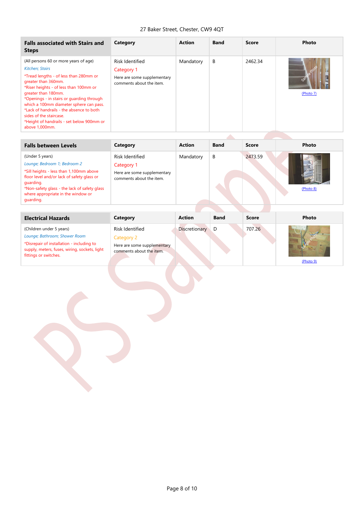#### <span id="page-7-1"></span><span id="page-7-0"></span>27 Baker Street, Chester, CW9 4QT

| <b>Falls associated with Stairs and</b><br><b>Steps</b>                                                                                                                                                                                                                                                                                                                                                                          | Category                                                                                        | <b>Action</b> | <b>Band</b> | <b>Score</b> | Photo            |
|----------------------------------------------------------------------------------------------------------------------------------------------------------------------------------------------------------------------------------------------------------------------------------------------------------------------------------------------------------------------------------------------------------------------------------|-------------------------------------------------------------------------------------------------|---------------|-------------|--------------|------------------|
| (All persons 60 or more years of age)<br><b>Kitchen</b> ; Stairs<br>*Tread lengths - of less than 280mm or<br>greater than 360mm.<br>*Riser heights - of less than 100mm or<br>greater than 180mm.<br>*Openings - in stairs or guarding through<br>which a 100mm diameter sphere can pass.<br>*Lack of handrails - the absence to both<br>sides of the staircase.<br>*Height of handrails - set below 900mm or<br>above 1,000mm. | <b>Risk Identified</b><br>Category 1<br>Here are some supplementary<br>comments about the item. | Mandatory     | B           | 2462.34      | GON<br>(Photo 7) |

| <b>Falls between Levels</b>                                                                                                                                                                                                                              | Category                                                                                 | <b>Action</b> | <b>Band</b> | Score   | Photo     |
|----------------------------------------------------------------------------------------------------------------------------------------------------------------------------------------------------------------------------------------------------------|------------------------------------------------------------------------------------------|---------------|-------------|---------|-----------|
| (Under 5 years)<br>Lounge; Bedroom 1; Bedroom 2<br>*Sill heights - less than 1,100mm above<br>floor level and/or lack of safety glass or<br>guarding.<br>*Non-safety glass - the lack of safety glass<br>where appropriate in the window or<br>quarding. | Risk Identified<br>Category 1<br>Here are some supplementary<br>comments about the item. | Mandatory     | B           | 2473.59 | (Photo 8) |
|                                                                                                                                                                                                                                                          |                                                                                          |               |             |         |           |

<span id="page-7-2"></span>

| <b>Electrical Hazards</b>                                                                                                                                                        | Category                                                                                 | <b>Action</b>        | <b>Band</b> | <b>Score</b> | Photo     |
|----------------------------------------------------------------------------------------------------------------------------------------------------------------------------------|------------------------------------------------------------------------------------------|----------------------|-------------|--------------|-----------|
| (Children under 5 years)<br>Lounge; Bathroom; Shower Room<br>*Disrepair of installation - including to<br>supply, meters, fuses, wiring, sockets, light<br>fittings or switches. | Risk Identified<br>Category 2<br>Here are some supplementary<br>comments about the item. | <b>Discretionary</b> | D           | 707.26       | (Photo 9) |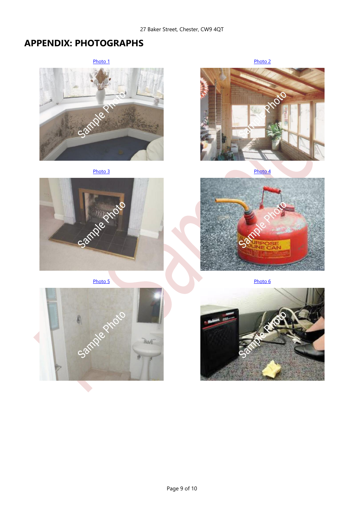#### <span id="page-8-2"></span>27 Baker Street, Chester, CW9 4QT

### <span id="page-8-1"></span><span id="page-8-0"></span>**APPENDIX: PHOTOGRAPHS**



<span id="page-8-3"></span>



<span id="page-8-4"></span>

<span id="page-8-6"></span>

<span id="page-8-5"></span>